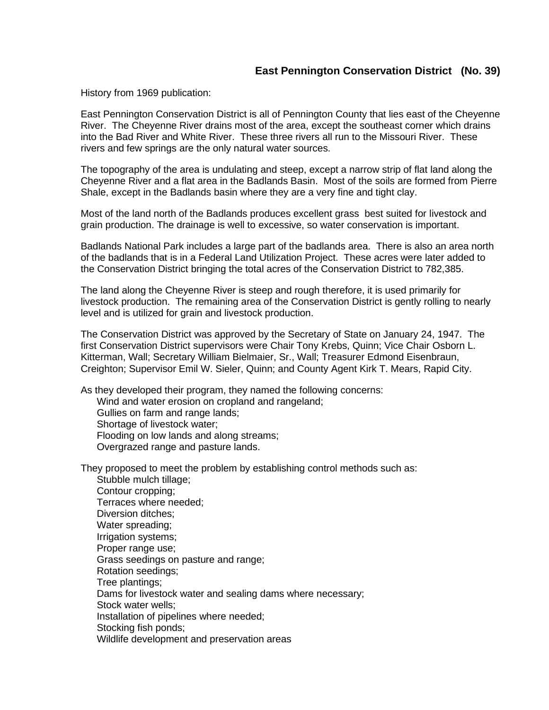## **East Pennington Conservation District (No. 39)**

History from 1969 publication:

East Pennington Conservation District is all of Pennington County that lies east of the Cheyenne River. The Cheyenne River drains most of the area, except the southeast corner which drains into the Bad River and White River. These three rivers all run to the Missouri River. These rivers and few springs are the only natural water sources.

The topography of the area is undulating and steep, except a narrow strip of flat land along the Cheyenne River and a flat area in the Badlands Basin. Most of the soils are formed from Pierre Shale, except in the Badlands basin where they are a very fine and tight clay.

Most of the land north of the Badlands produces excellent grass best suited for livestock and grain production. The drainage is well to excessive, so water conservation is important.

Badlands National Park includes a large part of the badlands area. There is also an area north of the badlands that is in a Federal Land Utilization Project. These acres were later added to the Conservation District bringing the total acres of the Conservation District to 782,385.

The land along the Cheyenne River is steep and rough therefore, it is used primarily for livestock production. The remaining area of the Conservation District is gently rolling to nearly level and is utilized for grain and livestock production.

The Conservation District was approved by the Secretary of State on January 24, 1947. The first Conservation District supervisors were Chair Tony Krebs, Quinn; Vice Chair Osborn L. Kitterman, Wall; Secretary William Bielmaier, Sr., Wall; Treasurer Edmond Eisenbraun, Creighton; Supervisor Emil W. Sieler, Quinn; and County Agent Kirk T. Mears, Rapid City.

As they developed their program, they named the following concerns:

Wind and water erosion on cropland and rangeland; Gullies on farm and range lands; Shortage of livestock water; Flooding on low lands and along streams;

Overgrazed range and pasture lands.

They proposed to meet the problem by establishing control methods such as: Stubble mulch tillage;

Contour cropping; Terraces where needed; Diversion ditches; Water spreading: Irrigation systems; Proper range use; Grass seedings on pasture and range; Rotation seedings; Tree plantings; Dams for livestock water and sealing dams where necessary; Stock water wells; Installation of pipelines where needed; Stocking fish ponds; Wildlife development and preservation areas